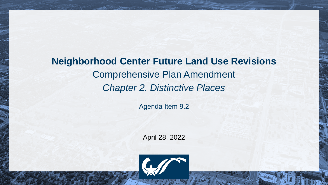# **Neighborhood Center Future Land Use Revisions** Comprehensive Plan Amendment *Chapter 2. Distinctive Places*

Agenda Item 9.2

April 28, 2022

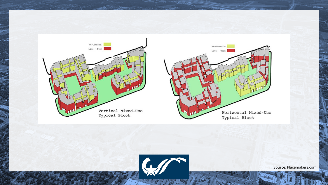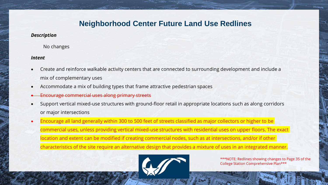### **Neighborhood Center Future Land Use Redlines**

#### *Description*

No changes

#### *Intent*

- Create and reinforce walkable activity centers that are connected to surrounding development and include a mix of complementary uses
- Accommodate a mix of building types that frame attractive pedestrian spaces
- Encourage commercial uses along primary streets
- Support vertical mixed-use structures with ground-floor retail in appropriate locations such as along corridors or major intersections
- Encourage all land generally within 300 to 500 feet of streets classified as major collectors or higher to be commercial uses, unless providing vertical mixed-use structures with residential uses on upper floors. The exact location and extent can be modified if creating commercial nodes, such as at intersections, and/or if other characteristics of the site require an alternative design that provides a mixture of uses in an integrated manner.



\*\*\*NOTE: Redlines showing changes to Page 35 of the College Station Comprehensive Plan\*\*\*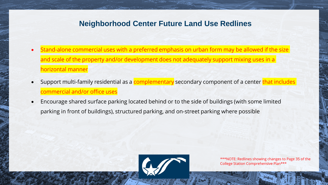## **Neighborhood Center Future Land Use Redlines**

- Stand-alone commercial uses with a preferred emphasis on urban form may be allowed if the size and scale of the property and/or development does not adequately support mixing uses in a horizontal manner
- Support multi-family residential as a complementary secondary component of a center that includes commercial and/or office uses
- Encourage shared surface parking located behind or to the side of buildings (with some limited parking in front of buildings), structured parking, and on-street parking where possible



\*\*\*NOTE: Redlines showing changes to Page 35 of the College Station Comprehensive Plan\*\*\*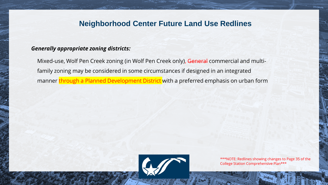### **Neighborhood Center Future Land Use Redlines**

#### *Generally appropriate zoning districts:*

Mixed-use, Wolf Pen Creek zoning (in Wolf Pen Creek only), General commercial and multifamily zoning may be considered in some circumstances if designed in an integrated manner through a Planned Development District with a preferred emphasis on urban form



\*\*\*NOTE: Redlines showing changes to Page 35 of the College Station Comprehensive Plan\*\*\*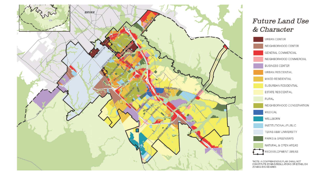

### **Future Land Use** & Character



\*NOTE: A COMPREHENSIVE PLAN SHALL NOT CONSTITUTE ZONING REGULATIONS OR ESTABLISH ZONING BOUNDARIES